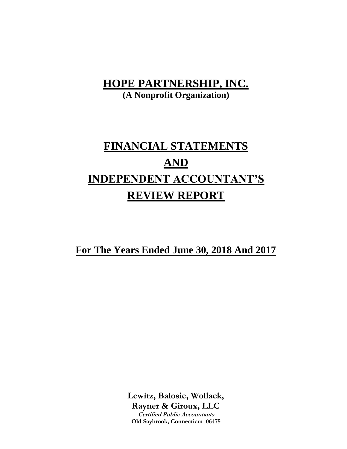**(A Nonprofit Organization)**

# **FINANCIAL STATEMENTS AND INDEPENDENT ACCOUNTANT'S REVIEW REPORT**

**For The Years Ended June 30, 2018 And 2017**

**Lewitz, Balosie, Wollack, Rayner & Giroux, LLC Certified Public Accountants Old Saybrook, Connecticut 06475**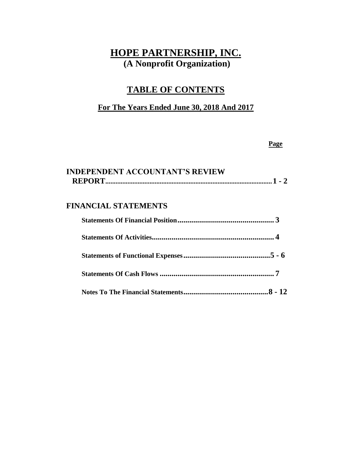# **TABLE OF CONTENTS**

## **For The Years Ended June 30, 2018 And 2017**

#### **Page**

| <b>INDEPENDENT ACCOUNTANT'S REVIEW</b> |  |
|----------------------------------------|--|
|                                        |  |

## **FINANCIAL STATEMENTS**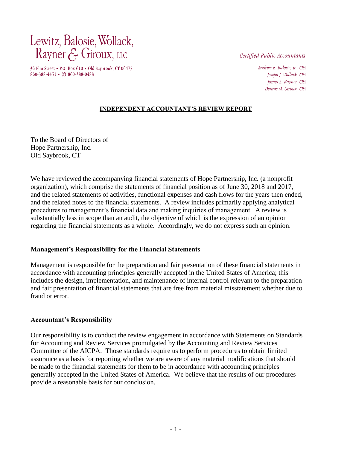Lewitz, Balosie, Wollack, Rayner & Giroux, LLC

Certified Public Accountants

36 Elm Street • P.O. Box 610 • Old Saybrook, CT 06475 860-388-4451 • (f) 860-388-0488

Andrew E. Balosie, Jr., CPA Joseph J. Wollack, CPA James A. Rayner, CPA Dennis M. Giroux. CPA

#### **INDEPENDENT ACCOUNTANT'S REVIEW REPORT**

To the Board of Directors of Hope Partnership, Inc. Old Saybrook, CT

We have reviewed the accompanying financial statements of Hope Partnership, Inc. (a nonprofit organization), which comprise the statements of financial position as of June 30, 2018 and 2017, and the related statements of activities, functional expenses and cash flows for the years then ended, and the related notes to the financial statements. A review includes primarily applying analytical procedures to management's financial data and making inquiries of management. A review is substantially less in scope than an audit, the objective of which is the expression of an opinion regarding the financial statements as a whole. Accordingly, we do not express such an opinion.

#### **Management's Responsibility for the Financial Statements**

Management is responsible for the preparation and fair presentation of these financial statements in accordance with accounting principles generally accepted in the United States of America; this includes the design, implementation, and maintenance of internal control relevant to the preparation and fair presentation of financial statements that are free from material misstatement whether due to fraud or error.

#### **Accountant's Responsibility**

Our responsibility is to conduct the review engagement in accordance with Statements on Standards for Accounting and Review Services promulgated by the Accounting and Review Services Committee of the AICPA. Those standards require us to perform procedures to obtain limited assurance as a basis for reporting whether we are aware of any material modifications that should be made to the financial statements for them to be in accordance with accounting principles generally accepted in the United States of America. We believe that the results of our procedures provide a reasonable basis for our conclusion.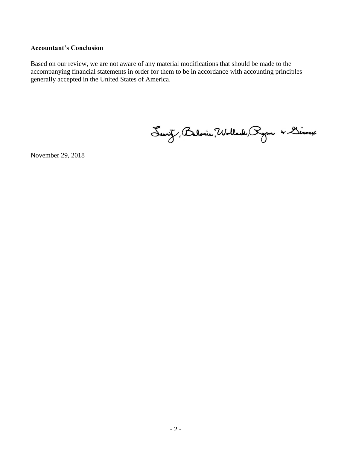#### **Accountant's Conclusion**

Based on our review, we are not aware of any material modifications that should be made to the accompanying financial statements in order for them to be in accordance with accounting principles generally accepted in the United States of America.

Servit, Balonie, Wollach, Ryon & Linoux

November 29, 2018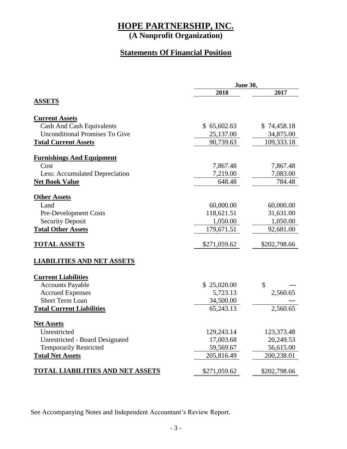**(A Nonprofit Organization)**

## **Statements Of Financial Position**

|                                         | June 30,     |              |  |
|-----------------------------------------|--------------|--------------|--|
|                                         | 2018         | 2017         |  |
| <b>ASSETS</b>                           |              |              |  |
| <b>Current Assets</b>                   |              |              |  |
| Cash And Cash Equivalents               | \$65,602.63  | \$74,458.18  |  |
| <b>Unconditional Promises To Give</b>   | 25,137.00    | 34,875.00    |  |
| <b>Total Current Assets</b>             | 90,739.63    | 109,333.18   |  |
| <b>Furnishings And Equipment</b>        |              |              |  |
| Cost                                    | 7,867.48     | 7,867.48     |  |
| Less: Accumulated Depreciation          | 7,219.00     | 7,083.00     |  |
| <b>Net Book Value</b>                   | 648.48       | 784.48       |  |
| <b>Other Assets</b>                     |              |              |  |
| Land                                    | 60,000.00    | 60,000.00    |  |
| Pre-Development Costs                   | 118,621.51   | 31,631.00    |  |
| <b>Security Deposit</b>                 | 1,050.00     | 1,050.00     |  |
| <b>Total Other Assets</b>               | 179,671.51   | 92,681.00    |  |
| <b>TOTAL ASSETS</b>                     | \$271,059.62 | \$202,798.66 |  |
| <b>LIABILITIES AND NET ASSETS</b>       |              |              |  |
| <b>Current Liabilities</b>              |              |              |  |
| <b>Accounts Payable</b>                 | \$25,020.00  | \$           |  |
| <b>Accrued Expenses</b>                 | 5,723.13     | 2,560.65     |  |
| <b>Short Term Loan</b>                  | 34,500.00    |              |  |
| <b>Total Current Liabilities</b>        | 65,243.13    | 2,560.65     |  |
| <b>Net Assets</b>                       |              |              |  |
| Unrestricted                            | 129,243.14   | 123,373.48   |  |
| <b>Unrestricted - Board Designated</b>  | 17,003.68    | 20,249.53    |  |
| <b>Temporarily Restricted</b>           | 59,569.67    | 56,615.00    |  |
| <b>Total Net Assets</b>                 | 205,816.49   | 200,238.01   |  |
| <b>TOTAL LIABILITIES AND NET ASSETS</b> | \$271,059.62 | \$202,798.66 |  |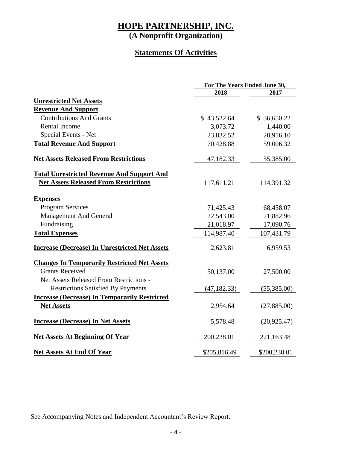**(A Nonprofit Organization)**

## **Statements Of Activities**

|                                                       | For The Years Ended June 30, |              |  |
|-------------------------------------------------------|------------------------------|--------------|--|
|                                                       | 2018                         | 2017         |  |
| <b>Unrestricted Net Assets</b>                        |                              |              |  |
| <b>Revenue And Support</b>                            |                              |              |  |
| <b>Contributions And Grants</b>                       | \$43,522.64                  | \$36,650.22  |  |
| <b>Rental Income</b>                                  | 3,073.72                     | 1,440.00     |  |
| Special Events - Net                                  | 23,832.52                    | 20,916.10    |  |
| <b>Total Revenue And Support</b>                      | 70,428.88                    | 59,006.32    |  |
| <b>Net Assets Released From Restrictions</b>          | 47,182.33                    | 55,385.00    |  |
| <b>Total Unrestricted Revenue And Support And</b>     |                              |              |  |
| <b>Net Assets Released From Restrictions</b>          | 117,611.21                   | 114,391.32   |  |
| <b>Expenses</b>                                       |                              |              |  |
| <b>Program Services</b>                               | 71,425.43                    | 68,458.07    |  |
| <b>Management And General</b>                         | 22,543.00                    | 21,882.96    |  |
| Fundraising                                           | 21,018.97                    | 17,090.76    |  |
| <b>Total Expenses</b>                                 | 114,987.40                   | 107,431.79   |  |
| <b>Increase (Decrease) In Unrestricted Net Assets</b> | 2,623.81                     | 6,959.53     |  |
| <b>Changes In Temporarily Restricted Net Assets</b>   |                              |              |  |
| <b>Grants Received</b>                                | 50,137.00                    | 27,500.00    |  |
| Net Assets Released From Restrictions -               |                              |              |  |
| <b>Restrictions Satisfied By Payments</b>             | (47, 182.33)                 | (55,385.00)  |  |
| <b>Increase (Decrease) In Temporarily Restricted</b>  |                              |              |  |
| <b>Net Assets</b>                                     | 2,954.64                     | (27,885.00)  |  |
| <b>Increase (Decrease) In Net Assets</b>              | 5,578.48                     | (20, 925.47) |  |
| <b>Net Assets At Beginning Of Year</b>                | 200,238.01                   | 221,163.48   |  |
| <b>Net Assets At End Of Year</b>                      | \$205,816.49                 | \$200,238.01 |  |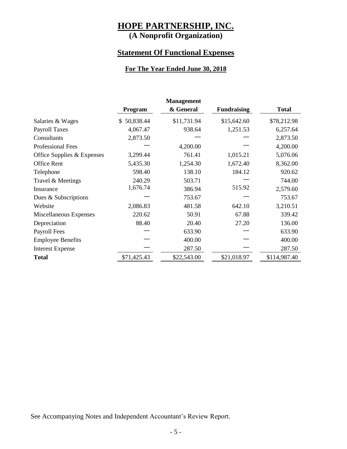# **(A Nonprofit Organization)**

## **Statement Of Functional Expenses**

#### **For The Year Ended June 30, 2018**

|                            | <b>Management</b> |             |                    |              |
|----------------------------|-------------------|-------------|--------------------|--------------|
|                            | Program           | & General   | <b>Fundraising</b> | <b>Total</b> |
| Salaries & Wages           | 50,838.44<br>\$.  | \$11,731.94 | \$15,642.60        | \$78,212.98  |
| <b>Payroll Taxes</b>       | 4,067.47          | 938.64      | 1,251.53           | 6,257.64     |
| Consultants                | 2,873.50          |             |                    | 2,873.50     |
| <b>Professional Fees</b>   |                   | 4,200.00    |                    | 4,200.00     |
| Office Supplies & Expenses | 3,299.44          | 761.41      | 1,015.21           | 5,076.06     |
| <b>Office Rent</b>         | 5,435.30          | 1,254.30    | 1,672.40           | 8,362.00     |
| Telephone                  | 598.40            | 138.10      | 184.12             | 920.62       |
| Travel & Meetings          | 240.29            | 503.71      |                    | 744.00       |
| Insurance                  | 1,676.74          | 386.94      | 515.92             | 2,579.60     |
| Dues & Subscriptions       |                   | 753.67      |                    | 753.67       |
| Website                    | 2,086.83          | 481.58      | 642.10             | 3,210.51     |
| Miscellaneous Expenses     | 220.62            | 50.91       | 67.88              | 339.42       |
| Depreciation               | 88.40             | 20.40       | 27.20              | 136.00       |
| Payroll Fees               |                   | 633.90      |                    | 633.90       |
| <b>Employee Benefits</b>   |                   | 400.00      |                    | 400.00       |
| <b>Interest Expense</b>    |                   | 287.50      |                    | 287.50       |
| <b>Total</b>               | \$71,425.43       | \$22,543.00 | \$21,018.97        | \$114,987.40 |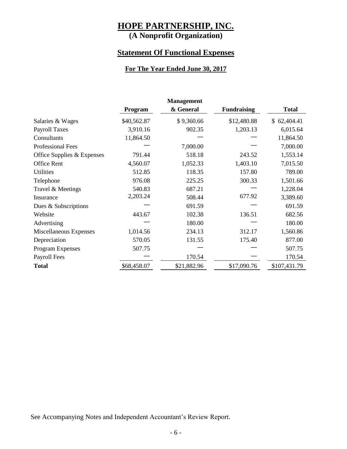# **(A Nonprofit Organization)**

## **Statement Of Functional Expenses**

#### **For The Year Ended June 30, 2017**

| <b>Management</b>          |             |             |                    |              |
|----------------------------|-------------|-------------|--------------------|--------------|
|                            | Program     | & General   | <b>Fundraising</b> | <b>Total</b> |
| Salaries & Wages           | \$40,562.87 | \$9,360.66  | \$12,480.88        | \$62,404.41  |
| <b>Payroll Taxes</b>       | 3,910.16    | 902.35      | 1,203.13           | 6,015.64     |
| Consultants                | 11,864.50   |             |                    | 11,864.50    |
| <b>Professional Fees</b>   |             | 7,000.00    |                    | 7,000.00     |
| Office Supplies & Expenses | 791.44      | 518.18      | 243.52             | 1,553.14     |
| <b>Office Rent</b>         | 4,560.07    | 1,052.33    | 1,403.10           | 7,015.50     |
| <b>Utilities</b>           | 512.85      | 118.35      | 157.80             | 789.00       |
| Telephone                  | 976.08      | 225.25      | 300.33             | 1,501.66     |
| Travel & Meetings          | 540.83      | 687.21      |                    | 1,228.04     |
| Insurance                  | 2,203.24    | 508.44      | 677.92             | 3,389.60     |
| Dues & Subscriptions       |             | 691.59      |                    | 691.59       |
| Website                    | 443.67      | 102.38      | 136.51             | 682.56       |
| Advertising                |             | 180.00      |                    | 180.00       |
| Miscellaneous Expenses     | 1,014.56    | 234.13      | 312.17             | 1,560.86     |
| Depreciation               | 570.05      | 131.55      | 175.40             | 877.00       |
| Program Expenses           | 507.75      |             |                    | 507.75       |
| Payroll Fees               |             | 170.54      |                    | 170.54       |
| <b>Total</b>               | \$68,458.07 | \$21,882.96 | \$17,090.76        | \$107,431.79 |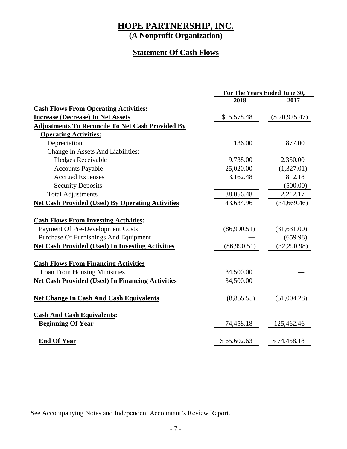**(A Nonprofit Organization)**

## **Statement Of Cash Flows**

|                                                         | For The Years Ended June 30, |                 |
|---------------------------------------------------------|------------------------------|-----------------|
|                                                         | 2018                         | 2017            |
| <b>Cash Flows From Operating Activities:</b>            |                              |                 |
| <b>Increase (Decrease) In Net Assets</b>                | \$5,578.48                   | $(\$20,925.47)$ |
| <b>Adjustments To Reconcile To Net Cash Provided By</b> |                              |                 |
| <b>Operating Activities:</b>                            |                              |                 |
| Depreciation                                            | 136.00                       | 877.00          |
| Change In Assets And Liabilities:                       |                              |                 |
| Pledges Receivable                                      | 9,738.00                     | 2,350.00        |
| <b>Accounts Payable</b>                                 | 25,020.00                    | (1,327.01)      |
| <b>Accrued Expenses</b>                                 | 3,162.48                     | 812.18          |
| <b>Security Deposits</b>                                |                              | (500.00)        |
| <b>Total Adjustments</b>                                | 38,056.48                    | 2,212.17        |
| <b>Net Cash Provided (Used) By Operating Activities</b> | 43,634.96                    | (34,669.46)     |
|                                                         |                              |                 |
| <b>Cash Flows From Investing Activities:</b>            |                              |                 |
| <b>Payment Of Pre-Development Costs</b>                 | (86,990.51)                  | (31,631.00)     |
| <b>Purchase Of Furnishings And Equipment</b>            |                              | (659.98)        |
| <b>Net Cash Provided (Used) In Investing Activities</b> | (86,990.51)                  | (32, 290.98)    |
| <b>Cash Flows From Financing Activities</b>             |                              |                 |
| <b>Loan From Housing Ministries</b>                     | 34,500.00                    |                 |
| <b>Net Cash Provided (Used) In Financing Activities</b> | 34,500.00                    |                 |
|                                                         |                              |                 |
| <b>Net Change In Cash And Cash Equivalents</b>          | (8,855.55)                   | (51,004.28)     |
| <b>Cash And Cash Equivalents:</b>                       |                              |                 |
| <b>Beginning Of Year</b>                                | 74,458.18                    | 125,462.46      |
| <b>End Of Year</b>                                      | \$65,602.63                  | \$74,458.18     |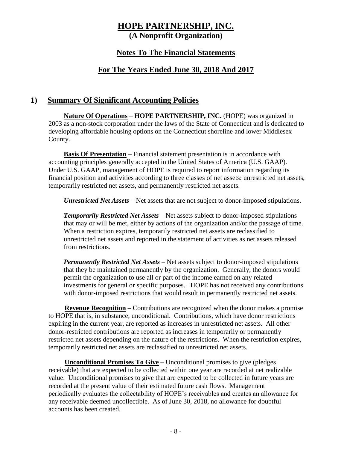**(A Nonprofit Organization)**

## **Notes To The Financial Statements**

## **For The Years Ended June 30, 2018 And 2017**

### **1) Summary Of Significant Accounting Policies**

**Nature Of Operations** – **HOPE PARTNERSHIP, INC.** (HOPE) was organized in 2003 as a non-stock corporation under the laws of the State of Connecticut and is dedicated to developing affordable housing options on the Connecticut shoreline and lower Middlesex County.

**Basis Of Presentation** – Financial statement presentation is in accordance with accounting principles generally accepted in the United States of America (U.S. GAAP). Under U.S. GAAP, management of HOPE is required to report information regarding its financial position and activities according to three classes of net assets: unrestricted net assets, temporarily restricted net assets, and permanently restricted net assets.

*Unrestricted Net Assets* – Net assets that are not subject to donor-imposed stipulations.

*Temporarily Restricted Net Assets* – Net assets subject to donor-imposed stipulations that may or will be met, either by actions of the organization and/or the passage of time. When a restriction expires, temporarily restricted net assets are reclassified to unrestricted net assets and reported in the statement of activities as net assets released from restrictions.

*Permanently Restricted Net Assets* – Net assets subject to donor-imposed stipulations that they be maintained permanently by the organization. Generally, the donors would permit the organization to use all or part of the income earned on any related investments for general or specific purposes. HOPE has not received any contributions with donor-imposed restrictions that would result in permanently restricted net assets.

**Revenue Recognition** – Contributions are recognized when the donor makes a promise to HOPE that is, in substance, unconditional. Contributions, which have donor restrictions expiring in the current year, are reported as increases in unrestricted net assets. All other donor-restricted contributions are reported as increases in temporarily or permanently restricted net assets depending on the nature of the restrictions. When the restriction expires, temporarily restricted net assets are reclassified to unrestricted net assets.

**Unconditional Promises To Give** – Unconditional promises to give (pledges receivable) that are expected to be collected within one year are recorded at net realizable value. Unconditional promises to give that are expected to be collected in future years are recorded at the present value of their estimated future cash flows. Management periodically evaluates the collectability of HOPE's receivables and creates an allowance for any receivable deemed uncollectible. As of June 30, 2018, no allowance for doubtful accounts has been created.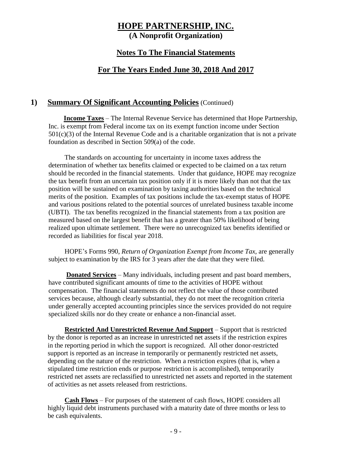#### **Notes To The Financial Statements**

### **For The Years Ended June 30, 2018 And 2017**

#### **1) Summary Of Significant Accounting Policies** (Continued)

**Income Taxes** – The Internal Revenue Service has determined that Hope Partnership, Inc. is exempt from Federal income tax on its exempt function income under Section  $501(c)(3)$  of the Internal Revenue Code and is a charitable organization that is not a private foundation as described in Section 509(a) of the code.

The standards on accounting for uncertainty in income taxes address the determination of whether tax benefits claimed or expected to be claimed on a tax return should be recorded in the financial statements. Under that guidance, HOPE may recognize the tax benefit from an uncertain tax position only if it is more likely than not that the tax position will be sustained on examination by taxing authorities based on the technical merits of the position. Examples of tax positions include the tax-exempt status of HOPE and various positions related to the potential sources of unrelated business taxable income (UBTI). The tax benefits recognized in the financial statements from a tax position are measured based on the largest benefit that has a greater than 50% likelihood of being realized upon ultimate settlement. There were no unrecognized tax benefits identified or recorded as liabilities for fiscal year 2018.

HOPE's Forms 990, *Return of Organization Exempt from Income Tax,* are generally subject to examination by the IRS for 3 years after the date that they were filed.

**Donated Services** – Many individuals, including present and past board members, have contributed significant amounts of time to the activities of HOPE without compensation. The financial statements do not reflect the value of those contributed services because, although clearly substantial, they do not meet the recognition criteria under generally accepted accounting principles since the services provided do not require specialized skills nor do they create or enhance a non-financial asset.

**Restricted And Unrestricted Revenue And Support** – Support that is restricted by the donor is reported as an increase in unrestricted net assets if the restriction expires in the reporting period in which the support is recognized. All other donor-restricted support is reported as an increase in temporarily or permanently restricted net assets, depending on the nature of the restriction. When a restriction expires (that is, when a stipulated time restriction ends or purpose restriction is accomplished), temporarily restricted net assets are reclassified to unrestricted net assets and reported in the statement of activities as net assets released from restrictions.

**Cash Flows** – For purposes of the statement of cash flows, HOPE considers all highly liquid debt instruments purchased with a maturity date of three months or less to be cash equivalents.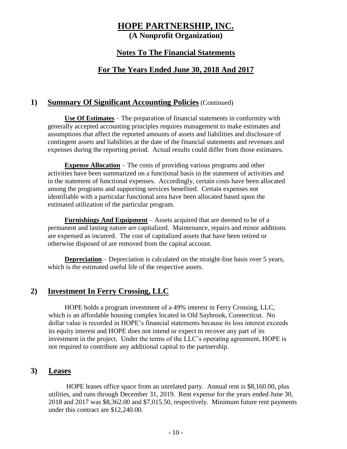#### **Notes To The Financial Statements**

### **For The Years Ended June 30, 2018 And 2017**

#### **1) Summary Of Significant Accounting Policies** (Continued)

**Use Of Estimates** – The preparation of financial statements in conformity with generally accepted accounting principles requires management to make estimates and assumptions that affect the reported amounts of assets and liabilities and disclosure of contingent assets and liabilities at the date of the financial statements and revenues and expenses during the reporting period. Actual results could differ from those estimates.

**Expense Allocation** – The costs of providing various programs and other activities have been summarized on a functional basis in the statement of activities and in the statement of functional expenses. Accordingly, certain costs have been allocated among the programs and supporting services benefited. Certain expenses not identifiable with a particular functional area have been allocated based upon the estimated utilization of the particular program.

**Furnishings And Equipment** – Assets acquired that are deemed to be of a permanent and lasting nature are capitalized. Maintenance, repairs and minor additions are expensed as incurred. The cost of capitalized assets that have been retired or otherwise disposed of are removed from the capital account.

**Depreciation** – Depreciation is calculated on the straight-line basis over 5 years, which is the estimated useful life of the respective assets.

### **2) Investment In Ferry Crossing, LLC**

HOPE holds a program investment of a 49% interest in Ferry Crossing, LLC, which is an affordable housing complex located in Old Saybrook, Connecticut. No dollar value is recorded in HOPE's financial statements because its loss interest exceeds its equity interest and HOPE does not intend or expect to recover any part of its investment in the project. Under the terms of the LLC's operating agreement, HOPE is not required to contribute any additional capital to the partnership.

#### **3) Leases**

HOPE leases office space from an unrelated party. Annual rent is \$8,160.00, plus utilities, and runs through December 31, 2019. Rent expense for the years ended June 30, 2018 and 2017 was \$8,362.00 and \$7,015.50, respectively. Minimum future rent payments under this contract are \$12,240.00.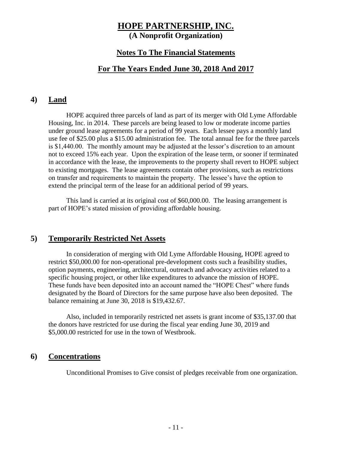#### **Notes To The Financial Statements**

#### **For The Years Ended June 30, 2018 And 2017**

#### **4) Land**

HOPE acquired three parcels of land as part of its merger with Old Lyme Affordable Housing, Inc. in 2014. These parcels are being leased to low or moderate income parties under ground lease agreements for a period of 99 years. Each lessee pays a monthly land use fee of \$25.00 plus a \$15.00 administration fee. The total annual fee for the three parcels is \$1,440.00. The monthly amount may be adjusted at the lessor's discretion to an amount not to exceed 15% each year. Upon the expiration of the lease term, or sooner if terminated in accordance with the lease, the improvements to the property shall revert to HOPE subject to existing mortgages. The lease agreements contain other provisions, such as restrictions on transfer and requirements to maintain the property. The lessee's have the option to extend the principal term of the lease for an additional period of 99 years.

This land is carried at its original cost of \$60,000.00. The leasing arrangement is part of HOPE's stated mission of providing affordable housing.

#### **5) Temporarily Restricted Net Assets**

In consideration of merging with Old Lyme Affordable Housing, HOPE agreed to restrict \$50,000.00 for non-operational pre-development costs such a feasibility studies, option payments, engineering, architectural, outreach and advocacy activities related to a specific housing project, or other like expenditures to advance the mission of HOPE. These funds have been deposited into an account named the "HOPE Chest" where funds designated by the Board of Directors for the same purpose have also been deposited. The balance remaining at June 30, 2018 is \$19,432.67.

Also, included in temporarily restricted net assets is grant income of \$35,137.00 that the donors have restricted for use during the fiscal year ending June 30, 2019 and \$5,000.00 restricted for use in the town of Westbrook.

#### **6) Concentrations**

Unconditional Promises to Give consist of pledges receivable from one organization.